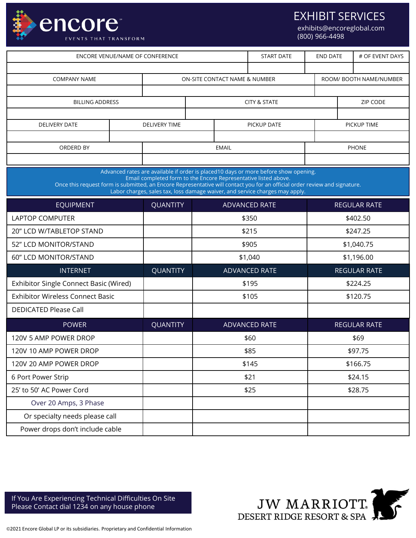

EXHIBIT SERVICES

exhibits@encoreglobal.com (800) 966-4498

| <b>ENCORE VENUE/NAME OF CONFERENCE</b>                                                                                                                                                                                                                                                                                                                               |                         |                      |                               |                         | <b>START DATE</b> |              | <b>END DATE</b><br># OF EVENT DAYS |  |  |
|----------------------------------------------------------------------------------------------------------------------------------------------------------------------------------------------------------------------------------------------------------------------------------------------------------------------------------------------------------------------|-------------------------|----------------------|-------------------------------|-------------------------|-------------------|--------------|------------------------------------|--|--|
|                                                                                                                                                                                                                                                                                                                                                                      |                         |                      |                               |                         |                   |              |                                    |  |  |
| <b>COMPANY NAME</b>                                                                                                                                                                                                                                                                                                                                                  |                         |                      | ON-SITE CONTACT NAME & NUMBER | ROOM/ BOOTH NAME/NUMBER |                   |              |                                    |  |  |
|                                                                                                                                                                                                                                                                                                                                                                      |                         |                      |                               |                         |                   |              |                                    |  |  |
| <b>BILLING ADDRESS</b>                                                                                                                                                                                                                                                                                                                                               | <b>CITY &amp; STATE</b> |                      |                               |                         | ZIP CODE          |              |                                    |  |  |
| <b>DELIVERY DATE</b>                                                                                                                                                                                                                                                                                                                                                 |                         | <b>DELIVERY TIME</b> |                               |                         | PICKUP DATE       |              | PICKUP TIME                        |  |  |
|                                                                                                                                                                                                                                                                                                                                                                      |                         |                      |                               |                         |                   |              |                                    |  |  |
| ORDERD BY                                                                                                                                                                                                                                                                                                                                                            |                         | <b>EMAIL</b>         |                               |                         |                   | <b>PHONE</b> |                                    |  |  |
|                                                                                                                                                                                                                                                                                                                                                                      |                         |                      |                               |                         |                   |              |                                    |  |  |
| Advanced rates are available if order is placed10 days or more before show opening.<br>Email completed form to the Encore Representative listed above.<br>Once this request form is submitted, an Encore Representative will contact you for an official order review and signature.<br>Labor charges, sales tax, loss damage waiver, and service charges may apply. |                         |                      |                               |                         |                   |              |                                    |  |  |
| <b>EQUIPMENT</b>                                                                                                                                                                                                                                                                                                                                                     |                         | <b>QUANTITY</b>      |                               | <b>ADVANCED RATE</b>    |                   |              | <b>REGULAR RATE</b>                |  |  |
| <b>LAPTOP COMPUTER</b>                                                                                                                                                                                                                                                                                                                                               |                         |                      |                               |                         | \$350             |              | \$402.50                           |  |  |
| 20" LCD W/TABLETOP STAND                                                                                                                                                                                                                                                                                                                                             |                         |                      |                               |                         | \$215             | \$247.25     |                                    |  |  |
| 52" LCD MONITOR/STAND                                                                                                                                                                                                                                                                                                                                                |                         |                      |                               |                         | \$905             |              | \$1,040.75                         |  |  |
| 60" LCD MONITOR/STAND                                                                                                                                                                                                                                                                                                                                                |                         |                      |                               |                         | \$1,040           |              | \$1,196.00                         |  |  |
| <b>INTERNET</b>                                                                                                                                                                                                                                                                                                                                                      |                         | <b>QUANTITY</b>      |                               |                         | ADVANCED RATE     |              | <b>REGULAR RATE</b>                |  |  |
| Exhibitor Single Connect Basic (Wired)                                                                                                                                                                                                                                                                                                                               |                         |                      |                               |                         | \$195             |              | \$224.25                           |  |  |
| <b>Exhibitor Wireless Connect Basic</b>                                                                                                                                                                                                                                                                                                                              |                         |                      |                               |                         | \$105             |              | \$120.75                           |  |  |
| <b>DEDICATED Please Call</b>                                                                                                                                                                                                                                                                                                                                         |                         |                      |                               |                         |                   |              |                                    |  |  |
| <b>POWER</b>                                                                                                                                                                                                                                                                                                                                                         |                         | <b>QUANTITY</b>      |                               |                         | ADVANCED RATE     |              | <b>REGULAR RATE</b>                |  |  |
| 120V 5 AMP POWER DROP                                                                                                                                                                                                                                                                                                                                                |                         |                      |                               |                         | \$60              |              | \$69                               |  |  |
| 120V 10 AMP POWER DROP                                                                                                                                                                                                                                                                                                                                               |                         |                      |                               |                         | \$85              |              | \$97.75                            |  |  |
| 120V 20 AMP POWER DROP                                                                                                                                                                                                                                                                                                                                               |                         |                      |                               | \$145                   |                   | \$166.75     |                                    |  |  |
| 6 Port Power Strip                                                                                                                                                                                                                                                                                                                                                   |                         |                      |                               |                         | \$21              | \$24.15      |                                    |  |  |
| 25' to 50' AC Power Cord                                                                                                                                                                                                                                                                                                                                             |                         |                      |                               | \$25                    |                   | \$28.75      |                                    |  |  |
| Over 20 Amps, 3 Phase                                                                                                                                                                                                                                                                                                                                                |                         |                      |                               |                         |                   |              |                                    |  |  |
| Or specialty needs please call                                                                                                                                                                                                                                                                                                                                       |                         |                      |                               |                         |                   |              |                                    |  |  |
| Power drops don't include cable                                                                                                                                                                                                                                                                                                                                      |                         |                      |                               |                         |                   |              |                                    |  |  |

If You Are Experiencing Technical Difficulties On Site Please Contact dial 1234 on any house phone